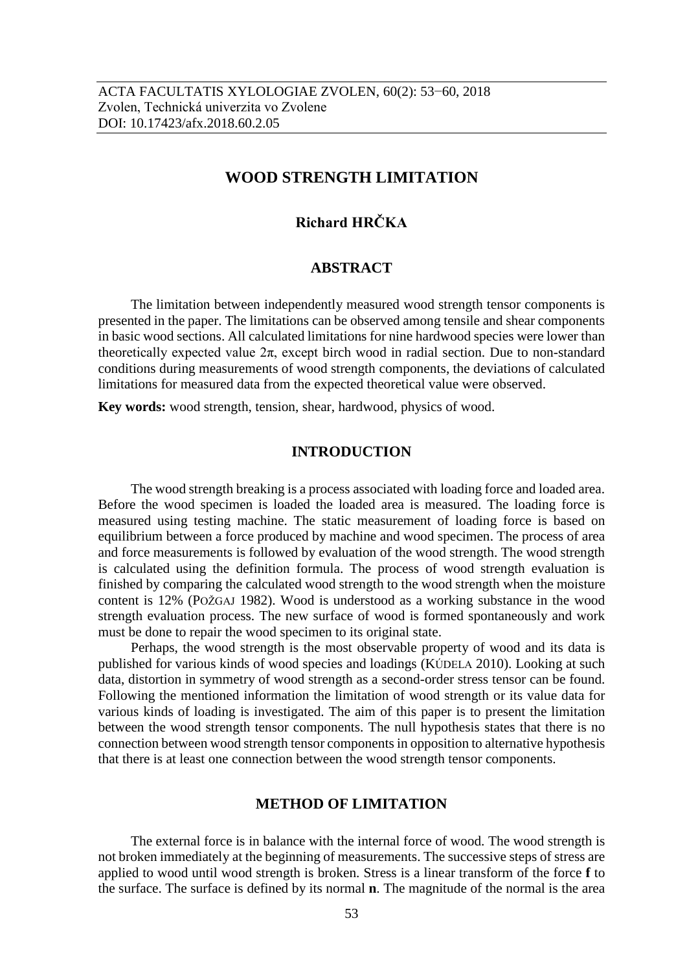## **WOOD STRENGTH LIMITATION**

# **Richard HRČKA**

#### **ABSTRACT**

The limitation between independently measured wood strength tensor components is presented in the paper. The limitations can be observed among tensile and shear components in basic wood sections. All calculated limitations for nine hardwood species were lower than theoretically expected value  $2\pi$ , except birch wood in radial section. Due to non-standard conditions during measurements of wood strength components, the deviations of calculated limitations for measured data from the expected theoretical value were observed.

**Key words:** wood strength, tension, shear, hardwood, physics of wood.

#### **INTRODUCTION**

The wood strength breaking is a process associated with loading force and loaded area. Before the wood specimen is loaded the loaded area is measured. The loading force is measured using testing machine. The static measurement of loading force is based on equilibrium between a force produced by machine and wood specimen. The process of area and force measurements is followed by evaluation of the wood strength. The wood strength is calculated using the definition formula. The process of wood strength evaluation is finished by comparing the calculated wood strength to the wood strength when the moisture content is 12% (POŽGAJ 1982). Wood is understood as a working substance in the wood strength evaluation process. The new surface of wood is formed spontaneously and work must be done to repair the wood specimen to its original state.

Perhaps, the wood strength is the most observable property of wood and its data is published for various kinds of wood species and loadings (KÚDELA 2010). Looking at such data, distortion in symmetry of wood strength as a second-order stress tensor can be found. Following the mentioned information the limitation of wood strength or its value data for various kinds of loading is investigated. The aim of this paper is to present the limitation between the wood strength tensor components. The null hypothesis states that there is no connection between wood strength tensor components in opposition to alternative hypothesis that there is at least one connection between the wood strength tensor components.

#### **METHOD OF LIMITATION**

The external force is in balance with the internal force of wood. The wood strength is not broken immediately at the beginning of measurements. The successive steps of stress are applied to wood until wood strength is broken. Stress is a linear transform of the force **f** to the surface. The surface is defined by its normal **n**. The magnitude of the normal is the area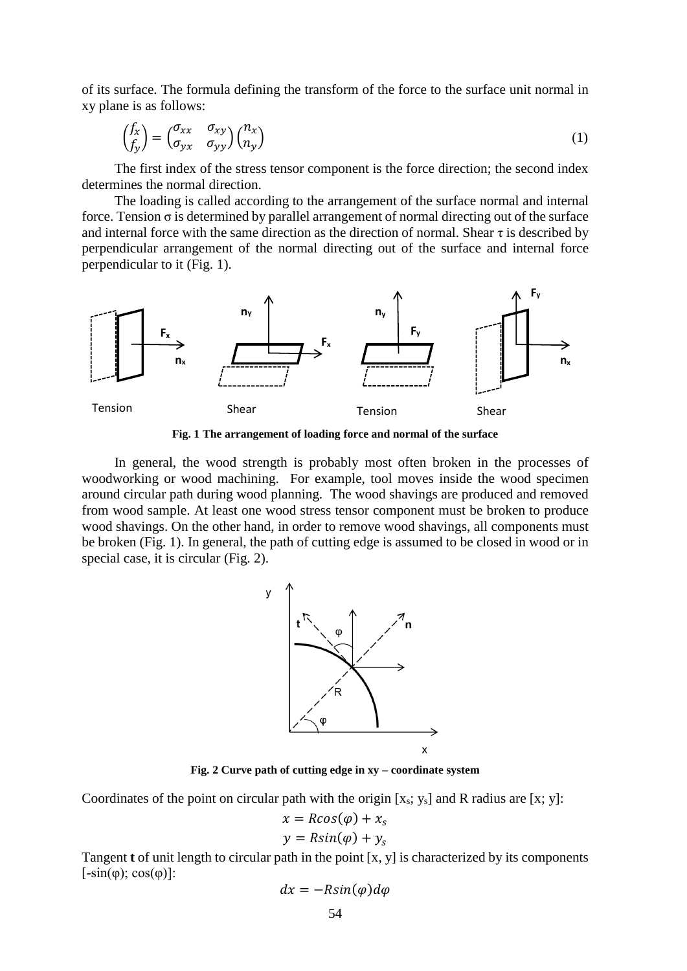of its surface. The formula defining the transform of the force to the surface unit normal in xy plane is as follows:

$$
\begin{pmatrix} f_x \\ f_y \end{pmatrix} = \begin{pmatrix} \sigma_{xx} & \sigma_{xy} \\ \sigma_{yx} & \sigma_{yy} \end{pmatrix} \begin{pmatrix} n_x \\ n_y \end{pmatrix} \tag{1}
$$

The first index of the stress tensor component is the force direction; the second index determines the normal direction.

The loading is called according to the arrangement of the surface normal and internal force. Tension  $\sigma$  is determined by parallel arrangement of normal directing out of the surface and internal force with the same direction as the direction of normal. Shear  $\tau$  is described by perpendicular arrangement of the normal directing out of the surface and internal force perpendicular to it (Fig. 1).



**Fig. 1 The arrangement of loading force and normal of the surface**

In general, the wood strength is probably most often broken in the processes of woodworking or wood machining. For example, tool moves inside the wood specimen around circular path during wood planning. The wood shavings are produced and removed from wood sample. At least one wood stress tensor component must be broken to produce wood shavings. On the other hand, in order to remove wood shavings, all components must be broken (Fig. 1). In general, the path of cutting edge is assumed to be closed in wood or in special case, it is circular (Fig. 2).



**Fig. 2 Curve path of cutting edge in xy – coordinate system**

Coordinates of the point on circular path with the origin  $[x_s; y_s]$  and R radius are  $[x; y]$ :

$$
x = R\cos(\varphi) + x_s
$$
  

$$
y = R\sin(\varphi) + y_s
$$

Tangent **t** of unit length to circular path in the point [x, y] is characterized by its components  $[-\sin(\varphi); \cos(\varphi)]$ :

$$
dx = -R\sin(\varphi)d\varphi
$$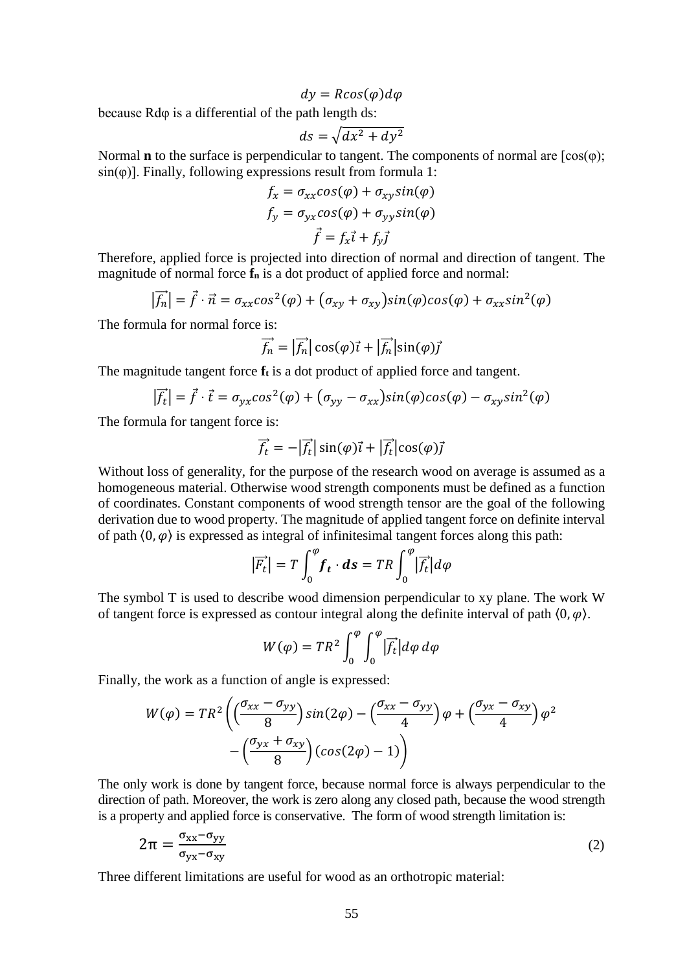$dy = R\cos(\varphi)d\varphi$ 

because Rdφ is a differential of the path length ds:

$$
ds = \sqrt{dx^2 + dy^2}
$$

Normal **n** to the surface is perpendicular to tangent. The components of normal are  $[\cos(\varphi)]$ ;  $sin(\varphi)$ ]. Finally, following expressions result from formula 1:

$$
f_x = \sigma_{xx} \cos(\varphi) + \sigma_{xy} \sin(\varphi)
$$
  

$$
f_y = \sigma_{yx} \cos(\varphi) + \sigma_{yy} \sin(\varphi)
$$
  

$$
\vec{f} = f_x \vec{i} + f_y \vec{j}
$$

Therefore, applied force is projected into direction of normal and direction of tangent. The magnitude of normal force **f<sup>n</sup>** is a dot product of applied force and normal:

$$
|\vec{f}_n| = \vec{f} \cdot \vec{n} = \sigma_{xx} \cos^2(\varphi) + (\sigma_{xy} + \sigma_{xy}) \sin(\varphi) \cos(\varphi) + \sigma_{xx} \sin^2(\varphi)
$$

The formula for normal force is:

$$
\overrightarrow{f_n} = |\overrightarrow{f_n}| \cos(\varphi)\overrightarrow{i} + |\overrightarrow{f_n}| \sin(\varphi)\overrightarrow{j}
$$

The magnitude tangent force **f<sup>t</sup>** is a dot product of applied force and tangent.

$$
\left|\vec{f}_t\right| = \vec{f} \cdot \vec{t} = \sigma_{yx} \cos^2(\varphi) + (\sigma_{yy} - \sigma_{xx}) \sin(\varphi) \cos(\varphi) - \sigma_{xy} \sin^2(\varphi)
$$

The formula for tangent force is:

$$
\vec{f}_t = -|\vec{f}_t| \sin(\varphi)\vec{\imath} + |\vec{f}_t| \cos(\varphi)\vec{\jmath}
$$

Without loss of generality, for the purpose of the research wood on average is assumed as a homogeneous material. Otherwise wood strength components must be defined as a function of coordinates. Constant components of wood strength tensor are the goal of the following derivation due to wood property. The magnitude of applied tangent force on definite interval of path  $\langle 0, \varphi \rangle$  is expressed as integral of infinitesimal tangent forces along this path:

$$
|\vec{F_t}| = T \int_0^{\varphi} \mathbf{f_t} \cdot \mathbf{ds} = TR \int_0^{\varphi} |\vec{f_t}| d\varphi
$$

The symbol T is used to describe wood dimension perpendicular to xy plane. The work W of tangent force is expressed as contour integral along the definite interval of path  $(0, \varphi)$ .

$$
W(\varphi) = TR^2 \int_0^{\varphi} \int_0^{\varphi} |\vec{f_t}| d\varphi d\varphi
$$

Finally, the work as a function of angle is expressed:

$$
W(\varphi) = TR^2 \left( \left( \frac{\sigma_{xx} - \sigma_{yy}}{8} \right) sin(2\varphi) - \left( \frac{\sigma_{xx} - \sigma_{yy}}{4} \right) \varphi + \left( \frac{\sigma_{yx} - \sigma_{xy}}{4} \right) \varphi^2 - \left( \frac{\sigma_{yx} + \sigma_{xy}}{8} \right) (cos(2\varphi) - 1) \right)
$$

The only work is done by tangent force, because normal force is always perpendicular to the direction of path. Moreover, the work is zero along any closed path, because the wood strength is a property and applied force is conservative. The form of wood strength limitation is:

$$
2\pi = \frac{\sigma_{xx} - \sigma_{yy}}{\sigma_{yx} - \sigma_{xy}}
$$
 (2)

Three different limitations are useful for wood as an orthotropic material: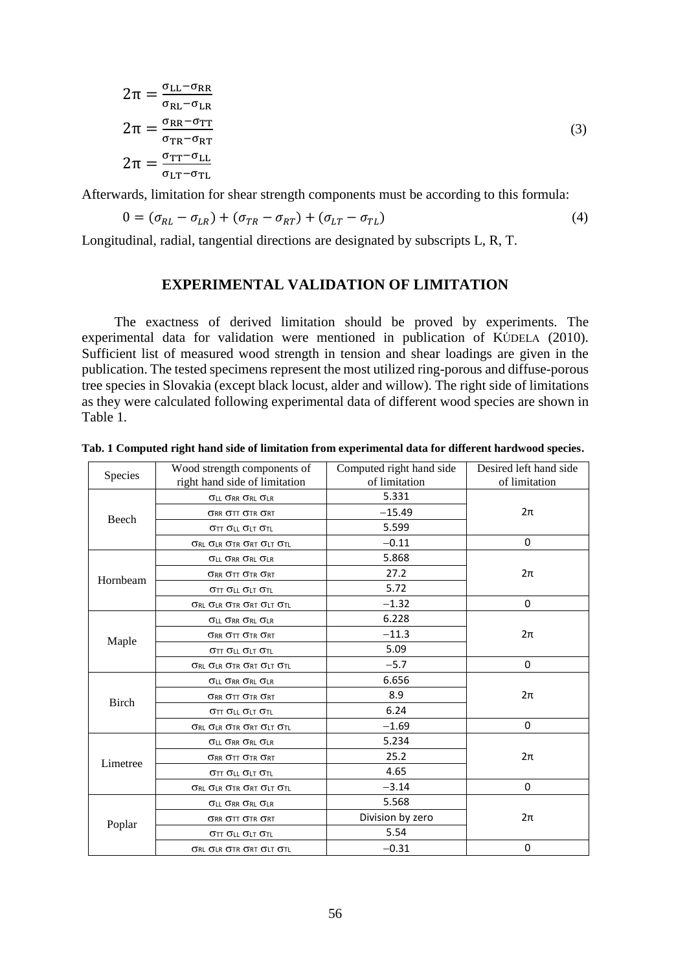$$
2\pi = \frac{\sigma_{LL} - \sigma_{RR}}{\sigma_{RL} - \sigma_{LR}}
$$
  
\n
$$
2\pi = \frac{\sigma_{RR} - \sigma_{TT}}{\sigma_{TR} - \sigma_{RT}}
$$
  
\n
$$
2\pi = \frac{\sigma_{TT} - \sigma_{LL}}{\sigma_{LT} - \sigma_{TL}}
$$
\n(3)

Afterwards, limitation for shear strength components must be according to this formula:

$$
0 = (\sigma_{RL} - \sigma_{LR}) + (\sigma_{TR} - \sigma_{RT}) + (\sigma_{LT} - \sigma_{TL})
$$
\n<sup>(4)</sup>

Longitudinal, radial, tangential directions are designated by subscripts L, R, T.

### **EXPERIMENTAL VALIDATION OF LIMITATION**

The exactness of derived limitation should be proved by experiments. The experimental data for validation were mentioned in publication of KÚDELA (2010). Sufficient list of measured wood strength in tension and shear loadings are given in the publication. The tested specimens represent the most utilized ring-porous and diffuse-porous tree species in Slovakia (except black locust, alder and willow). The right side of limitations as they were calculated following experimental data of different wood species are shown in Table 1.

|  |  |  |  | Tab. 1 Computed right hand side of limitation from experimental data for different hardwood species. |  |  |  |
|--|--|--|--|------------------------------------------------------------------------------------------------------|--|--|--|
|  |  |  |  |                                                                                                      |  |  |  |

| Species      | Wood strength components of<br>right hand side of limitation | Computed right hand side<br>of limitation | Desired left hand side<br>of limitation |  |
|--------------|--------------------------------------------------------------|-------------------------------------------|-----------------------------------------|--|
|              | <b>OLL ORR ORL OLR</b>                                       | 5.331                                     |                                         |  |
| Beech        | <b>ORR OTT OTR ORT</b>                                       | $-15.49$                                  | $2\pi$                                  |  |
|              | <b>OTT OLL OLT OTL</b>                                       | 5.599                                     |                                         |  |
|              | <b>ORL OLR OTR ORT OLT OTL</b>                               | $-0.11$                                   | 0                                       |  |
|              | <b>OLL ORR ORL OLR</b>                                       | 5.868                                     |                                         |  |
| Hornbeam     | <b>ORR OTT OTR ORT</b>                                       | 27.2                                      | $2\pi$                                  |  |
|              | <b>σ</b> ττ σιι σιτ στι                                      | 5.72                                      |                                         |  |
|              | ORL OLR OTR ORT OLT OTL                                      | $-1.32$                                   | 0                                       |  |
|              | <b>OLL ORR ORL OLR</b>                                       | 6.228                                     |                                         |  |
|              | <b>ORR OTT OTR ORT</b>                                       | $-11.3$                                   | $2\pi$                                  |  |
| Maple        | σττ σιι σιτ στι                                              | 5.09                                      |                                         |  |
|              | ORL OLR OTR ORT OLT OTL                                      | $-5.7$                                    | 0                                       |  |
|              | <b>OLL ORR ORL OLR</b>                                       | 6.656                                     |                                         |  |
| <b>Birch</b> | <b>ORR OTT OTR ORT</b>                                       | 8.9                                       | $2\pi$                                  |  |
|              | <b>OTT OLL OLT OTL</b>                                       | 6.24                                      |                                         |  |
|              | ORL OLR OTR ORT OLT OTL                                      | $-1.69$                                   | 0                                       |  |
|              | <b>OLL ORR ORL OLR</b>                                       | 5.234                                     |                                         |  |
| Limetree     | <b>ORR OTT OTR ORT</b>                                       | 25.2                                      | $2\pi$                                  |  |
|              | σττ σιι σιτ στι                                              | 4.65                                      |                                         |  |
|              | ORL OLR OTR ORT OLT OTL                                      | $-3.14$                                   | 0                                       |  |
|              | <b>OLL ORR ORL OLR</b>                                       | 5.568                                     |                                         |  |
|              | <b>ORR OTT OTR ORT</b>                                       | Division by zero                          | $2\pi$                                  |  |
| Poplar       | σττ σιι σιτ στι                                              | 5.54                                      |                                         |  |
|              | ORL OLR OTR ORT OLT OTL                                      | $-0.31$                                   | 0                                       |  |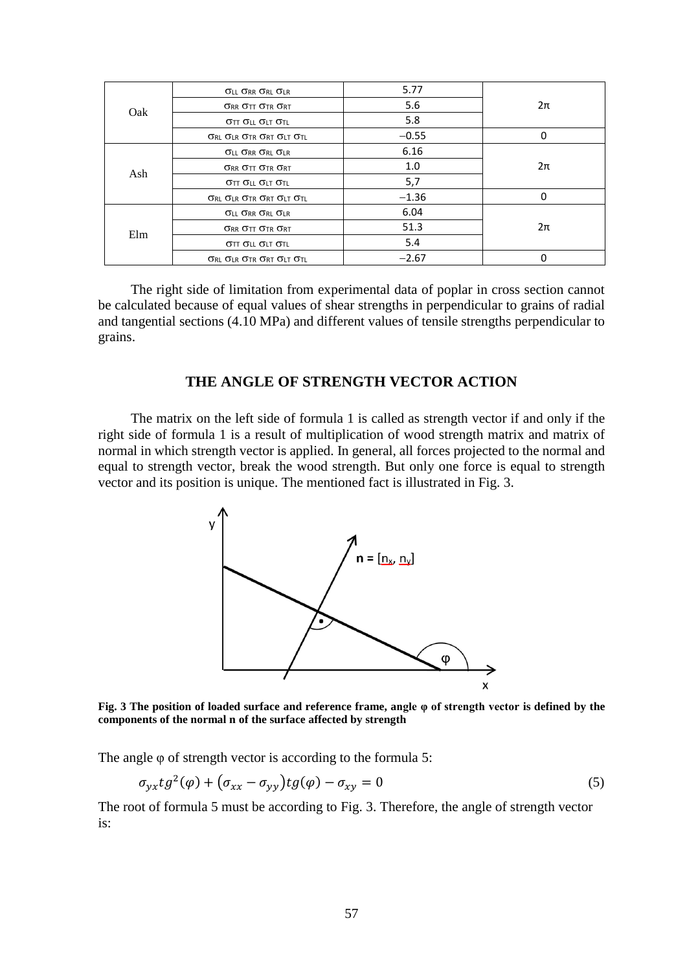|     | $\sigma$ ll $\sigma$ rr $\sigma$ rl $\sigma$ lr         | 5.77    |        |  |
|-----|---------------------------------------------------------|---------|--------|--|
|     | <b>ORR OTT OTR ORT</b>                                  | 5.6     | $2\pi$ |  |
| Oak | <b>OTT OLL OLT OTL</b>                                  | 5.8     |        |  |
|     | <b>ORL OLR OTR ORT OLT OTL</b>                          | $-0.55$ | 0      |  |
|     | <b>OLL ORR ORL OLR</b>                                  | 6.16    |        |  |
| Ash | <b>ORR OTT OTR ORT</b>                                  | 1.0     | 2π     |  |
|     | $\sigma_{TT}$ $\sigma_{LL}$ $\sigma_{LT}$ $\sigma_{TL}$ | 5,7     |        |  |
|     | ORL OLR OTR ORT OLT OTL                                 | $-1.36$ | 0      |  |
|     | <b>OLL ORR ORL OLR</b>                                  | 6.04    |        |  |
|     | $\sigma$ rr $\sigma$ tt $\sigma$ tr $\sigma$ rt         | 51.3    | 2π     |  |
| Elm | <b>OTT OLL OLT OTL</b>                                  | 5.4     |        |  |
|     | <b>ORL OLR OTR ORT OLT OTL</b>                          | $-2.67$ | 0      |  |

The right side of limitation from experimental data of poplar in cross section cannot be calculated because of equal values of shear strengths in perpendicular to grains of radial and tangential sections (4.10 MPa) and different values of tensile strengths perpendicular to grains.

#### **THE ANGLE OF STRENGTH VECTOR ACTION**

The matrix on the left side of formula 1 is called as strength vector if and only if the right side of formula 1 is a result of multiplication of wood strength matrix and matrix of normal in which strength vector is applied. In general, all forces projected to the normal and equal to strength vector, break the wood strength. But only one force is equal to strength vector and its position is unique. The mentioned fact is illustrated in Fig. 3.



**Fig. 3 The position of loaded surface and reference frame, angle φ of strength vector is defined by the components of the normal n of the surface affected by strength**

The angle φ of strength vector is according to the formula 5:

$$
\sigma_{yx} t g^2(\varphi) + \left(\sigma_{xx} - \sigma_{yy}\right) t g(\varphi) - \sigma_{xy} = 0 \tag{5}
$$

The root of formula 5 must be according to Fig. 3. Therefore, the angle of strength vector is: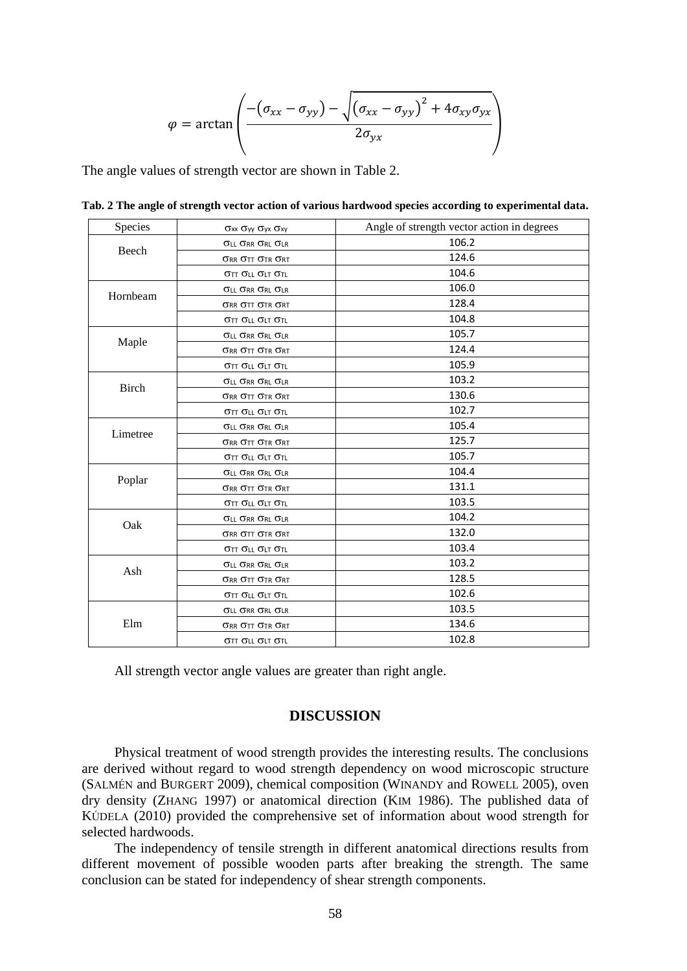$$
\varphi = \arctan\left(\frac{-\left(\sigma_{xx} - \sigma_{yy}\right) - \sqrt{\left(\sigma_{xx} - \sigma_{yy}\right)^2 + 4\sigma_{xy}\sigma_{yx}}}{2\sigma_{yx}}\right)
$$

The angle values of strength vector are shown in Table 2.

| Species      | $\sigma$ xx $\sigma$ yy $\sigma$ yx $\sigma$ xy | Angle of strength vector action in degrees |  |  |  |  |
|--------------|-------------------------------------------------|--------------------------------------------|--|--|--|--|
|              | <b>OLL ORR ORL OLR</b>                          | 106.2                                      |  |  |  |  |
| Beech        | $\sigma$ rr $\sigma$ tt $\sigma$ tr $\sigma$ rt | 124.6                                      |  |  |  |  |
|              | σττ σιι σιτ στι                                 | 104.6                                      |  |  |  |  |
|              | <b>OLL ORR ORL OLR</b>                          | 106.0                                      |  |  |  |  |
| Hornbeam     | <b>ORR OTT OTR ORT</b>                          | 128.4                                      |  |  |  |  |
|              | <b>ΟΤΤ ΟLL ΟLT ΟΤΙ.</b>                         | 104.8                                      |  |  |  |  |
|              | <b>OLL ORR ORL OLR</b>                          | 105.7                                      |  |  |  |  |
| Maple        | <b>ORR OTT OTR ORT</b>                          | 124.4                                      |  |  |  |  |
|              | <b>OTT OLL OLT OTL</b>                          | 105.9                                      |  |  |  |  |
|              | <b>OLL ORR ORL OLR</b>                          | 103.2                                      |  |  |  |  |
| <b>Birch</b> | $\sigma$ rr $\sigma$ tt $\sigma$ tr $\sigma$ rt | 130.6                                      |  |  |  |  |
|              | <b>ΟΤΤ ΟLL ΟLT ΟΤΙ.</b>                         | 102.7                                      |  |  |  |  |
|              | <b>OLL ORR ORL OLR</b>                          | 105.4                                      |  |  |  |  |
| Limetree     | $\sigma$ rr $\sigma$ tt $\sigma$ tr $\sigma$ rt | 125.7                                      |  |  |  |  |
|              | <b>OTT OLL OLT OTL</b>                          | 105.7                                      |  |  |  |  |
|              | <b>OLL ORR ORL OLR</b>                          | 104.4                                      |  |  |  |  |
| Poplar       | $\sigma$ rr $\sigma$ tt $\sigma$ tr $\sigma$ rt | 131.1                                      |  |  |  |  |
|              | <b>OTT OLL OLT OTL</b>                          | 103.5                                      |  |  |  |  |
|              | <b>OLL ORR ORL OLR</b>                          | 104.2                                      |  |  |  |  |
| Oak          | <b>ORR OTT OTR ORT</b>                          | 132.0                                      |  |  |  |  |
|              | στ σιι σιτ στι                                  | 103.4                                      |  |  |  |  |
|              | <b>OLL ORR ORL OLR</b>                          | 103.2                                      |  |  |  |  |
| Ash          | $\sigma$ rr $\sigma$ tt $\sigma$ tr $\sigma$ rt | 128.5                                      |  |  |  |  |
|              | σττ σιι σιτ στι                                 | 102.6                                      |  |  |  |  |
|              | <b>OLL ORR ORL OLR</b>                          | 103.5                                      |  |  |  |  |
| Elm          | <b>ORR OTT OTR ORT</b>                          | 134.6                                      |  |  |  |  |
|              | σττ σιι σιτ στι                                 | 102.8                                      |  |  |  |  |

**Tab. 2 The angle of strength vector action of various hardwood species according to experimental data.**

All strength vector angle values are greater than right angle.

#### **DISCUSSION**

Physical treatment of wood strength provides the interesting results. The conclusions are derived without regard to wood strength dependency on wood microscopic structure (SALMÉN and BURGERT 2009), chemical composition (WINANDY and ROWELL 2005), oven dry density (ZHANG 1997) or anatomical direction (KIM 1986). The published data of KÚDELA (2010) provided the comprehensive set of information about wood strength for selected hardwoods.

The independency of tensile strength in different anatomical directions results from different movement of possible wooden parts after breaking the strength. The same conclusion can be stated for independency of shear strength components.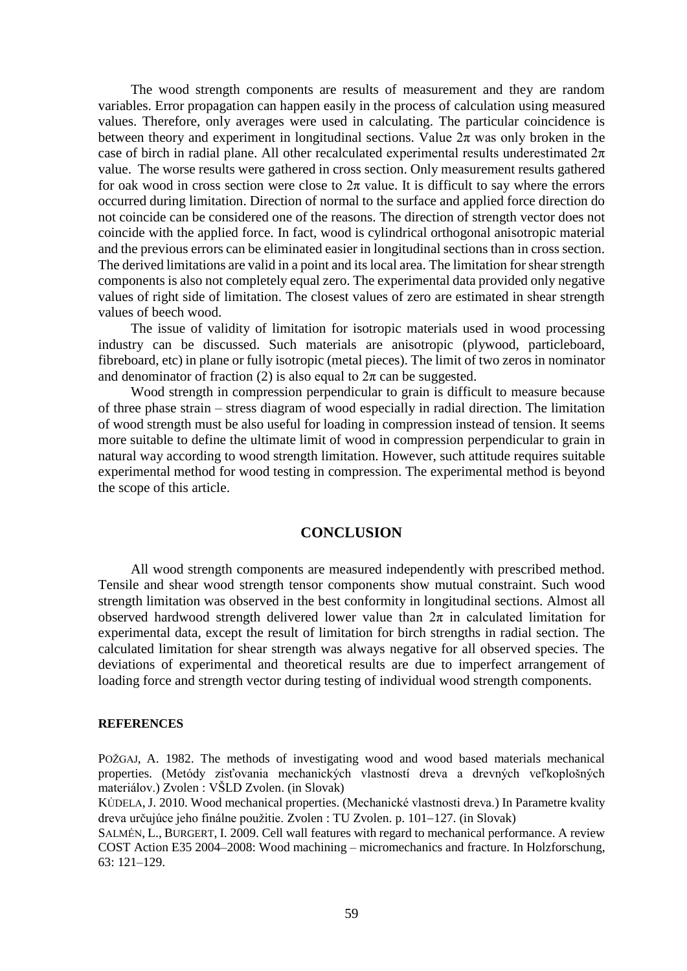The wood strength components are results of measurement and they are random variables. Error propagation can happen easily in the process of calculation using measured values. Therefore, only averages were used in calculating. The particular coincidence is between theory and experiment in longitudinal sections. Value  $2\pi$  was only broken in the case of birch in radial plane. All other recalculated experimental results underestimated  $2\pi$ value. The worse results were gathered in cross section. Only measurement results gathered for oak wood in cross section were close to  $2\pi$  value. It is difficult to say where the errors occurred during limitation. Direction of normal to the surface and applied force direction do not coincide can be considered one of the reasons. The direction of strength vector does not coincide with the applied force. In fact, wood is cylindrical orthogonal anisotropic material and the previous errors can be eliminated easier in longitudinal sections than in cross section. The derived limitations are valid in a point and its local area. The limitation for shear strength components is also not completely equal zero. The experimental data provided only negative values of right side of limitation. The closest values of zero are estimated in shear strength values of beech wood.

The issue of validity of limitation for isotropic materials used in wood processing industry can be discussed. Such materials are anisotropic (plywood, particleboard, fibreboard, etc) in plane or fully isotropic (metal pieces). The limit of two zeros in nominator and denominator of fraction (2) is also equal to  $2\pi$  can be suggested.

Wood strength in compression perpendicular to grain is difficult to measure because of three phase strain – stress diagram of wood especially in radial direction. The limitation of wood strength must be also useful for loading in compression instead of tension. It seems more suitable to define the ultimate limit of wood in compression perpendicular to grain in natural way according to wood strength limitation. However, such attitude requires suitable experimental method for wood testing in compression. The experimental method is beyond the scope of this article.

#### **CONCLUSION**

All wood strength components are measured independently with prescribed method. Tensile and shear wood strength tensor components show mutual constraint. Such wood strength limitation was observed in the best conformity in longitudinal sections. Almost all observed hardwood strength delivered lower value than  $2\pi$  in calculated limitation for experimental data, except the result of limitation for birch strengths in radial section. The calculated limitation for shear strength was always negative for all observed species. The deviations of experimental and theoretical results are due to imperfect arrangement of loading force and strength vector during testing of individual wood strength components.

#### **REFERENCES**

POŽGAJ, A. 1982. The methods of investigating wood and wood based materials mechanical properties. (Metódy zisťovania mechanických vlastností dreva a drevných veľkoplošných materiálov.) Zvolen : VŠLD Zvolen. (in Slovak)

KÚDELA, J. 2010. Wood mechanical properties. (Mechanické vlastnosti dreva.) In Parametre kvality dreva určujúce jeho finálne použitie. Zvolen : TU Zvolen. p. 101–127. (in Slovak)

SALMÉN, L., BURGERT, I. 2009. Cell wall features with regard to mechanical performance. A review COST Action E35 2004–2008: Wood machining – micromechanics and fracture. In Holzforschung, 63: 121–129.